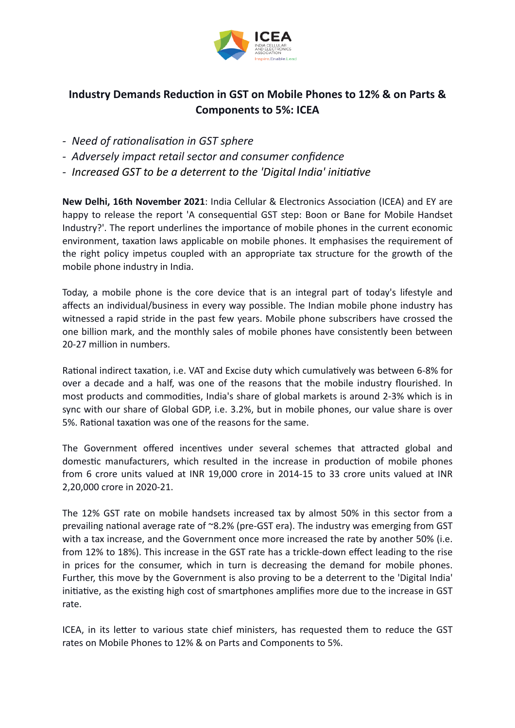

## **Industry Demands Reduction in GST on Mobile Phones to 12% & on Parts & Components to 5%: ICEA**

- *- Need of rationalisation in GST sphere*
- *- Adversely impact retail sector and consumer confidence*
- *- Increased GST to be a deterrent to the 'Digital India' initiative*

**New Delhi, 16th November 2021**: India Cellular & Electronics Association (ICEA) and EY are happy to release the report 'A consequential GST step: Boon or Bane for Mobile Handset Industry?'. The report underlines the importance of mobile phones in the current economic environment, taxation laws applicable on mobile phones. It emphasises the requirement of the right policy impetus coupled with an appropriate tax structure for the growth of the mobile phone industry in India.

Today, a mobile phone is the core device that is an integral part of today's lifestyle and affects an individual/business in every way possible. The Indian mobile phone industry has witnessed a rapid stride in the past few years. Mobile phone subscribers have crossed the one billion mark, and the monthly sales of mobile phones have consistently been between 20-27 million in numbers.

Rational indirect taxation, i.e. VAT and Excise duty which cumulatively was between 6-8% for over a decade and a half, was one of the reasons that the mobile industry flourished. In most products and commodities, India's share of global markets is around 2-3% which is in sync with our share of Global GDP, i.e. 3.2%, but in mobile phones, our value share is over 5%. Rational taxation was one of the reasons for the same.

The Government offered incentives under several schemes that attracted global and domestic manufacturers, which resulted in the increase in production of mobile phones from 6 crore units valued at INR 19,000 crore in 2014-15 to 33 crore units valued at INR 2,20,000 crore in 2020-21.

The 12% GST rate on mobile handsets increased tax by almost 50% in this sector from a prevailing national average rate of ~8.2% (pre-GST era). The industry was emerging from GST with a tax increase, and the Government once more increased the rate by another 50% (i.e. from 12% to 18%). This increase in the GST rate has a trickle-down effect leading to the rise in prices for the consumer, which in turn is decreasing the demand for mobile phones. Further, this move by the Government is also proving to be a deterrent to the 'Digital India' initiative, as the existing high cost of smartphones amplifies more due to the increase in GST rate.

ICEA, in its letter to various state chief ministers, has requested them to reduce the GST rates on Mobile Phones to 12% & on Parts and Components to 5%.